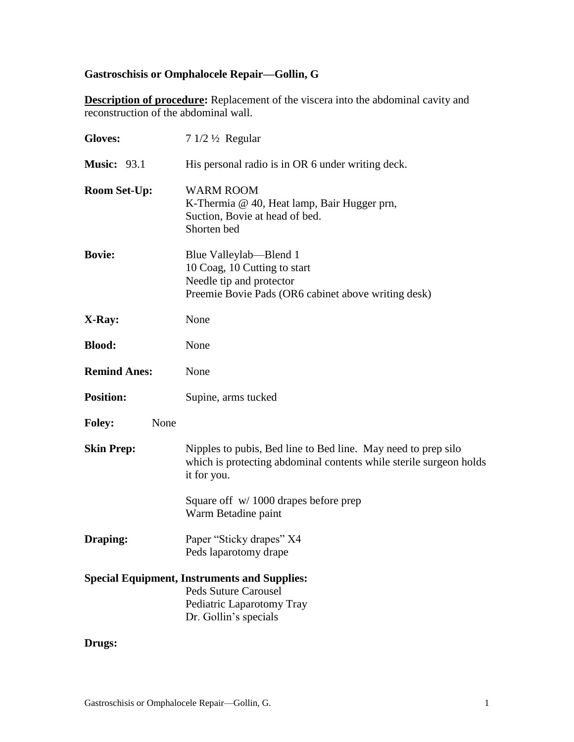## **Gastroschisis or Omphalocele Repair—Gollin, G**

**Description of procedure:** Replacement of the viscera into the abdominal cavity and reconstruction of the abdominal wall.

| <b>Gloves:</b>        | $71/2\frac{1}{2}$ Regular                                                                                                                          |
|-----------------------|----------------------------------------------------------------------------------------------------------------------------------------------------|
| <b>Music: 93.1</b>    | His personal radio is in OR 6 under writing deck.                                                                                                  |
| <b>Room Set-Up:</b>   | <b>WARM ROOM</b><br>K-Thermia @ 40, Heat lamp, Bair Hugger prn,<br>Suction, Bovie at head of bed.<br>Shorten bed                                   |
| <b>Bovie:</b>         | Blue Valleylab—Blend 1<br>10 Coag, 10 Cutting to start<br>Needle tip and protector<br>Preemie Bovie Pads (OR6 cabinet above writing desk)          |
| X-Ray:                | None                                                                                                                                               |
| <b>Blood:</b>         | None                                                                                                                                               |
| <b>Remind Anes:</b>   | None                                                                                                                                               |
| <b>Position:</b>      | Supine, arms tucked                                                                                                                                |
| <b>Foley:</b><br>None |                                                                                                                                                    |
| <b>Skin Prep:</b>     | Nipples to pubis, Bed line to Bed line. May need to prep silo<br>which is protecting abdominal contents while sterile surgeon holds<br>it for you. |
|                       | Square off $w/1000$ drapes before prep<br>Warm Betadine paint                                                                                      |
| <b>Draping:</b>       | Paper "Sticky drapes" X4<br>Peds laparotomy drape                                                                                                  |
|                       | <b>Special Equipment, Instruments and Supplies:</b><br><b>Peds Suture Carousel</b><br>Pediatric Laparotomy Tray<br>Dr. Gollin's specials           |

## **Drugs:**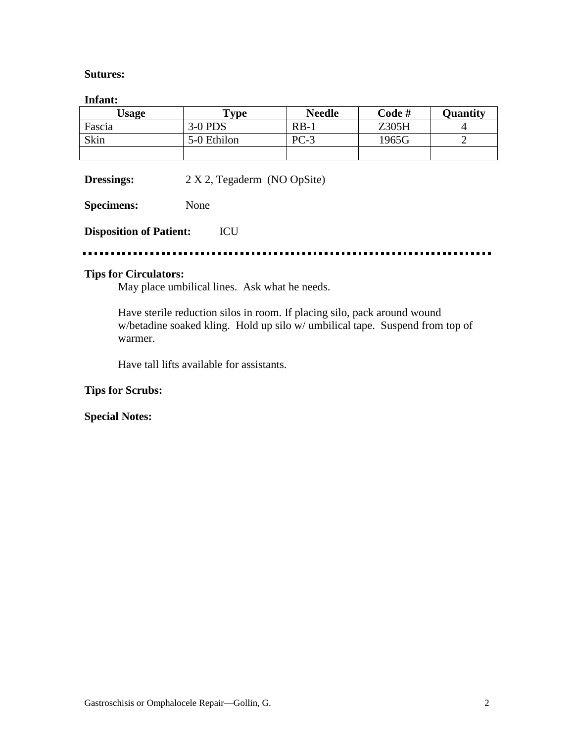#### **Sutures:**

#### **Infant:**

| Usage  | $\mathbf{Type}$ | <b>Needle</b> | Code # | <b>Quantity</b> |
|--------|-----------------|---------------|--------|-----------------|
| Fascia | $3-0$ PDS       | $RB-1$        | Z305H  |                 |
| Skin   | 5-0 Ethilon     | $PC-3$        | 1965G  |                 |
|        |                 |               |        |                 |

**Dressings:** 2 X 2, Tegaderm (NO OpSite)

**Specimens:** None

**Disposition of Patient:** ICU

.......................... ........

### **Tips for Circulators:**

May place umbilical lines. Ask what he needs.

Have sterile reduction silos in room. If placing silo, pack around wound w/betadine soaked kling. Hold up silo w/ umbilical tape. Suspend from top of warmer.

Have tall lifts available for assistants.

### **Tips for Scrubs:**

**Special Notes:**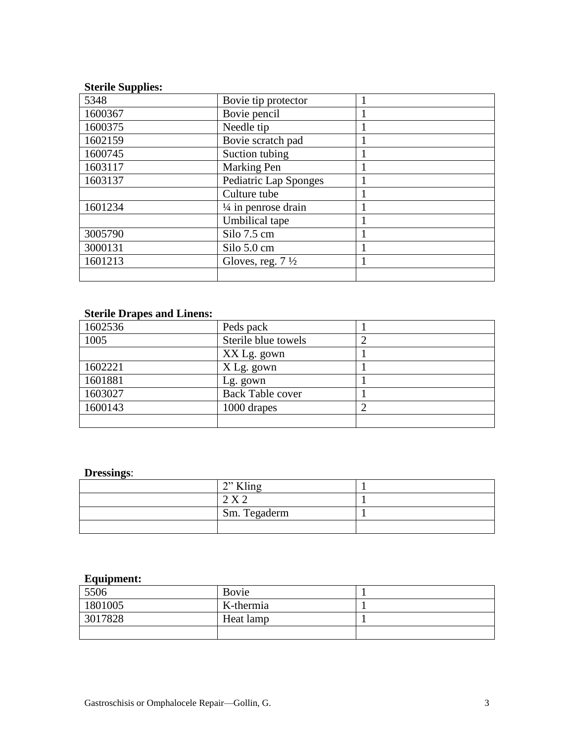## **Sterile Supplies:**

| 5348    | Bovie tip protector            |  |
|---------|--------------------------------|--|
| 1600367 | Bovie pencil                   |  |
| 1600375 | Needle tip                     |  |
| 1602159 | Bovie scratch pad              |  |
| 1600745 | Suction tubing                 |  |
| 1603117 | <b>Marking Pen</b>             |  |
| 1603137 | Pediatric Lap Sponges          |  |
|         | Culture tube                   |  |
| 1601234 | $\frac{1}{4}$ in penrose drain |  |
|         | Umbilical tape                 |  |
| 3005790 | Silo 7.5 cm                    |  |
| 3000131 | Silo 5.0 cm                    |  |
| 1601213 | Gloves, reg. $7\frac{1}{2}$    |  |
|         |                                |  |

# **Sterile Drapes and Linens:**

| 1602536 | Peds pack               |  |
|---------|-------------------------|--|
| 1005    | Sterile blue towels     |  |
|         | XX Lg. gown             |  |
| 1602221 | X Lg. gown              |  |
| 1601881 | Lg. gown                |  |
| 1603027 | <b>Back Table cover</b> |  |
| 1600143 | 1000 drapes             |  |
|         |                         |  |

# **Dressings**:

| $\gamma$ Kling |  |
|----------------|--|
|                |  |
| Sm. Tegaderm   |  |
|                |  |

### **Equipment:**

| . .<br>5506 | Bovie     |  |
|-------------|-----------|--|
| 1801005     | K-thermia |  |
| 3017828     | Heat lamp |  |
|             |           |  |